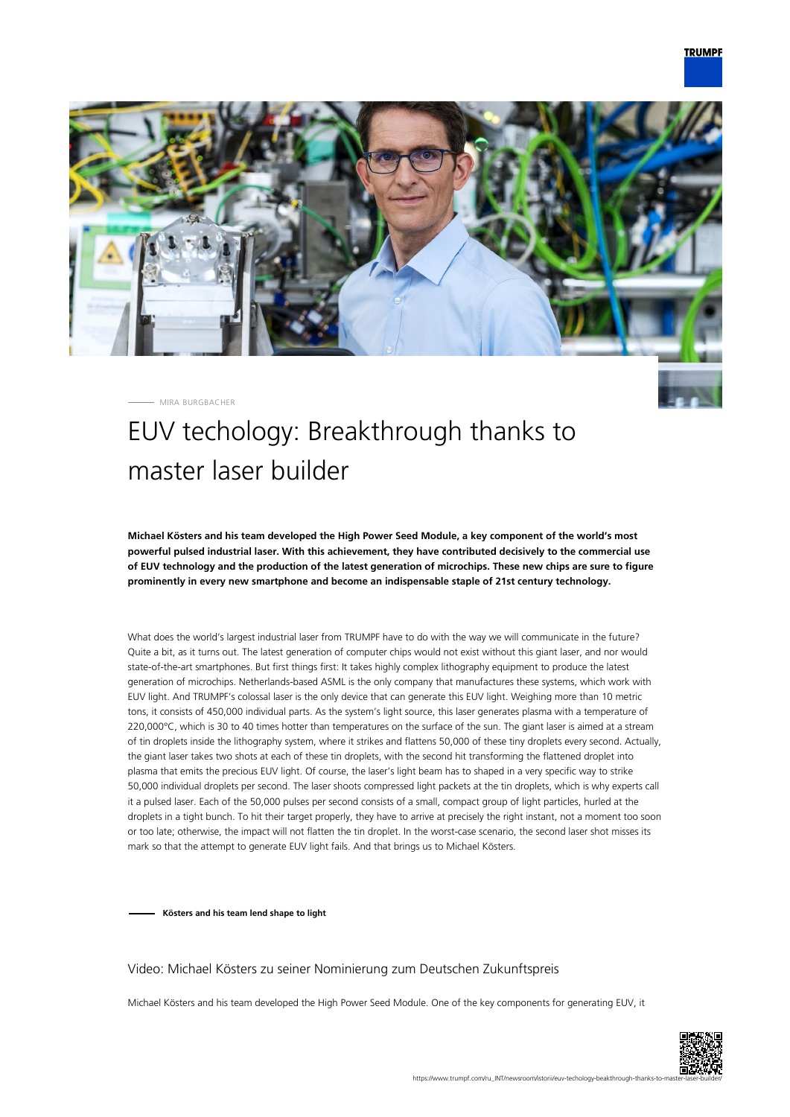

MIRA BURGBACHER

# EUV techology: Breakthrough thanks to master laser builder

**Michael Kösters and his team developed the High Power Seed Module, a key component of the world's most powerful pulsed industrial laser. With this achievement, they have contributed decisively to the commercial use of EUV technology and the production of the latest generation of microchips. These new chips are sure to figure prominently in every new smartphone and become an indispensable staple of 21st century technology.**

What does the world's largest industrial laser from TRUMPF have to do with the way we will communicate in the future? Quite a bit, as it turns out. The latest generation of computer chips would not exist without this giant laser, and nor would state-of-the-art smartphones. But first things first: It takes highly complex lithography equipment to produce the latest generation of microchips. Netherlands-based ASML is the only company that manufactures these systems, which work with EUV light. And TRUMPF's colossal laser is the only device that can generate this EUV light. Weighing more than 10 metric tons, it consists of 450,000 individual parts. As the system's light source, this laser generates plasma with a temperature of 220,000°C, which is 30 to 40 times hotter than temperatures on the surface of the sun. The giant laser is aimed at a stream of tin droplets inside the lithography system, where it strikes and flattens 50,000 of these tiny droplets every second. Actually, the giant laser takes two shots at each of these tin droplets, with the second hit transforming the flattened droplet into plasma that emits the precious EUV light. Of course, the laser's light beam has to shaped in a very specific way to strike 50,000 individual droplets per second. The laser shoots compressed light packets at the tin droplets, which is why experts call it a pulsed laser. Each of the 50,000 pulses per second consists of a small, compact group of light particles, hurled at the droplets in a tight bunch. To hit their target properly, they have to arrive at precisely the right instant, not a moment too soon or too late; otherwise, the impact will not flatten the tin droplet. In the worst-case scenario, the second laser shot misses its mark so that the attempt to generate EUV light fails. And that brings us to Michael Kösters.

**Kösters and his team lend shape to light**

#### Video: Michael Kösters zu seiner Nominierung zum Deutschen Zukunftspreis

Michael Kösters and his team developed the High Power Seed Module. One of the key components for generating EUV, it

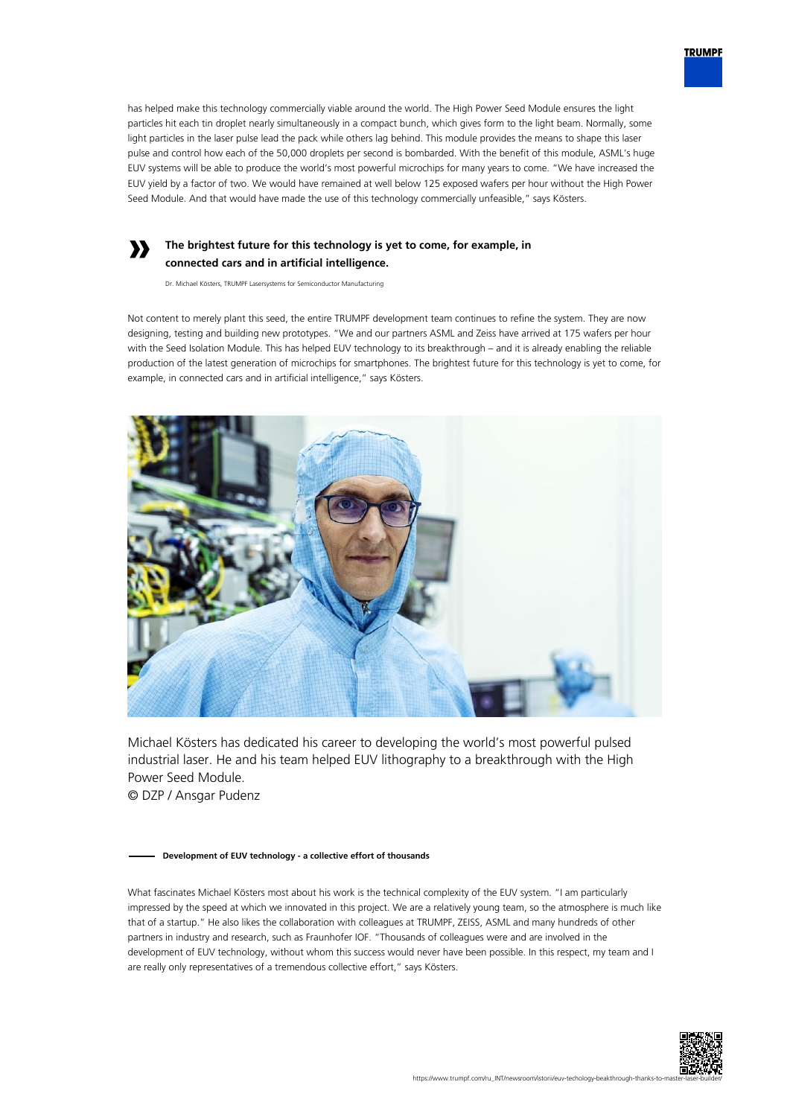

### **The brightest future for this technology is yet to come, for example, in connected cars and in artificial intelligence.**

Dr. Michael Kösters, TRUMPF Lasersystems for Semiconductor Manufacturing

**»**

Not content to merely plant this seed, the entire TRUMPF development team continues to refine the system. They are now designing, testing and building new prototypes. "We and our partners ASML and Zeiss have arrived at 175 wafers per hour with the Seed Isolation Module. This has helped EUV technology to its breakthrough – and it is already enabling the reliable production of the latest generation of microchips for smartphones. The brightest future for this technology is yet to come, for example, in connected cars and in artificial intelligence," says Kösters.



Michael Kösters has dedicated his career to developing the world's most powerful pulsed industrial laser. He and his team helped EUV lithography to a breakthrough with the High Power Seed Module.

© DZP / Ansgar Pudenz

#### **Development of EUV technology - a collective effort of thousands**

What fascinates Michael Kösters most about his work is the technical complexity of the EUV system. "I am particularly impressed by the speed at which we innovated in this project. We are a relatively young team, so the atmosphere is much like that of a startup." He also likes the collaboration with colleagues at TRUMPF, ZEISS, ASML and many hundreds of other partners in industry and research, such as Fraunhofer IOF. "Thousands of colleagues were and are involved in the development of EUV technology, without whom this success would never have been possible. In this respect, my team and I are really only representatives of a tremendous collective effort," says Kösters.



**TRUMPF**